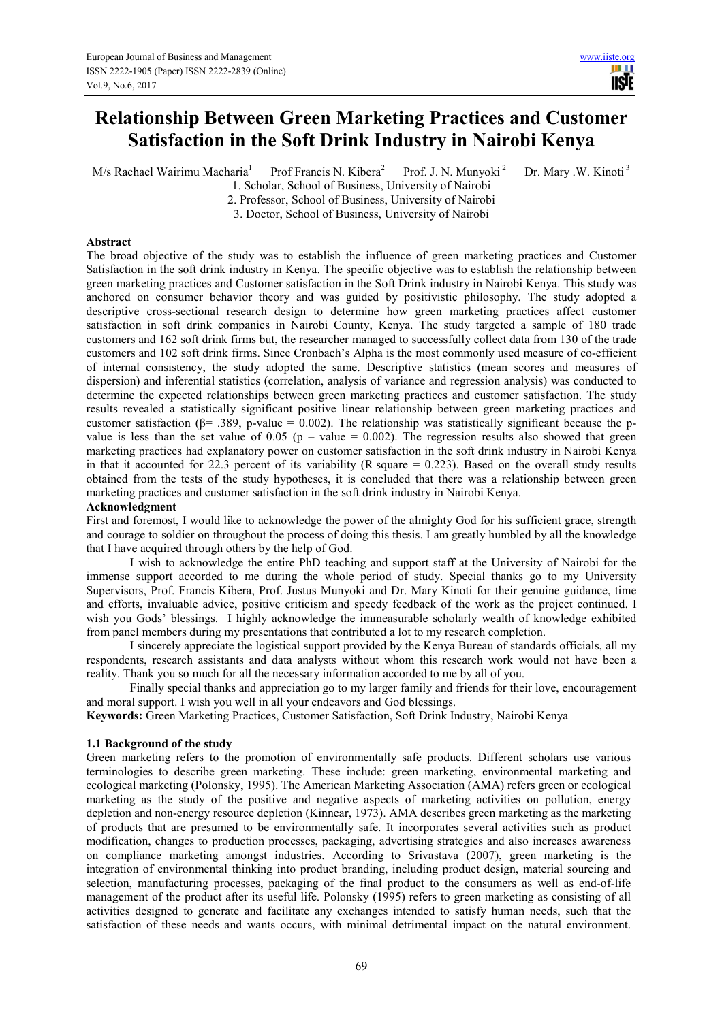ШI **IISTE** 

# **Relationship Between Green Marketing Practices and Customer Satisfaction in the Soft Drink Industry in Nairobi Kenya**

 $M/s$  Rachael Wairimu Macharia<sup>1</sup> Prof Francis N. Kibera<sup>2</sup>

Prof. J. N. Munyoki<sup>2</sup> Dr. Mary .W. Kinoti<sup>3</sup>

1. Scholar, School of Business, University of Nairobi 2. Professor, School of Business, University of Nairobi

3. Doctor, School of Business, University of Nairobi

## **Abstract**

The broad objective of the study was to establish the influence of green marketing practices and Customer Satisfaction in the soft drink industry in Kenya. The specific objective was to establish the relationship between green marketing practices and Customer satisfaction in the Soft Drink industry in Nairobi Kenya. This study was anchored on consumer behavior theory and was guided by positivistic philosophy. The study adopted a descriptive cross-sectional research design to determine how green marketing practices affect customer satisfaction in soft drink companies in Nairobi County, Kenya. The study targeted a sample of 180 trade customers and 162 soft drink firms but, the researcher managed to successfully collect data from 130 of the trade customers and 102 soft drink firms. Since Cronbach's Alpha is the most commonly used measure of co-efficient of internal consistency, the study adopted the same. Descriptive statistics (mean scores and measures of dispersion) and inferential statistics (correlation, analysis of variance and regression analysis) was conducted to determine the expected relationships between green marketing practices and customer satisfaction. The study results revealed a statistically significant positive linear relationship between green marketing practices and customer satisfaction ( $\beta$ = .389, p-value = 0.002). The relationship was statistically significant because the pvalue is less than the set value of 0.05 (p – value = 0.002). The regression results also showed that green marketing practices had explanatory power on customer satisfaction in the soft drink industry in Nairobi Kenya in that it accounted for 22.3 percent of its variability (R square  $= 0.223$ ). Based on the overall study results obtained from the tests of the study hypotheses, it is concluded that there was a relationship between green marketing practices and customer satisfaction in the soft drink industry in Nairobi Kenya.

# **Acknowledgment**

First and foremost, I would like to acknowledge the power of the almighty God for his sufficient grace, strength and courage to soldier on throughout the process of doing this thesis. I am greatly humbled by all the knowledge that I have acquired through others by the help of God.

I wish to acknowledge the entire PhD teaching and support staff at the University of Nairobi for the immense support accorded to me during the whole period of study. Special thanks go to my University Supervisors, Prof. Francis Kibera, Prof. Justus Munyoki and Dr. Mary Kinoti for their genuine guidance, time and efforts, invaluable advice, positive criticism and speedy feedback of the work as the project continued. I wish you Gods' blessings. I highly acknowledge the immeasurable scholarly wealth of knowledge exhibited from panel members during my presentations that contributed a lot to my research completion.

I sincerely appreciate the logistical support provided by the Kenya Bureau of standards officials, all my respondents, research assistants and data analysts without whom this research work would not have been a reality. Thank you so much for all the necessary information accorded to me by all of you.

Finally special thanks and appreciation go to my larger family and friends for their love, encouragement and moral support. I wish you well in all your endeavors and God blessings.

**Keywords:** Green Marketing Practices, Customer Satisfaction, Soft Drink Industry, Nairobi Kenya

# **1.1 Background of the study**

Green marketing refers to the promotion of environmentally safe products. Different scholars use various terminologies to describe green marketing. These include: green marketing, environmental marketing and ecological marketing (Polonsky, 1995). The American Marketing Association (AMA) refers green or ecological marketing as the study of the positive and negative aspects of marketing activities on pollution, energy depletion and non-energy resource depletion (Kinnear, 1973). AMA describes green marketing as the marketing of products that are presumed to be environmentally safe. It incorporates several activities such as product modification, changes to production processes, packaging, advertising strategies and also increases awareness on compliance marketing amongst industries. According to Srivastava (2007), green marketing is the integration of environmental thinking into product branding, including product design, material sourcing and selection, manufacturing processes, packaging of the final product to the consumers as well as end-of-life management of the product after its useful life. Polonsky (1995) refers to green marketing as consisting of all activities designed to generate and facilitate any exchanges intended to satisfy human needs, such that the satisfaction of these needs and wants occurs, with minimal detrimental impact on the natural environment.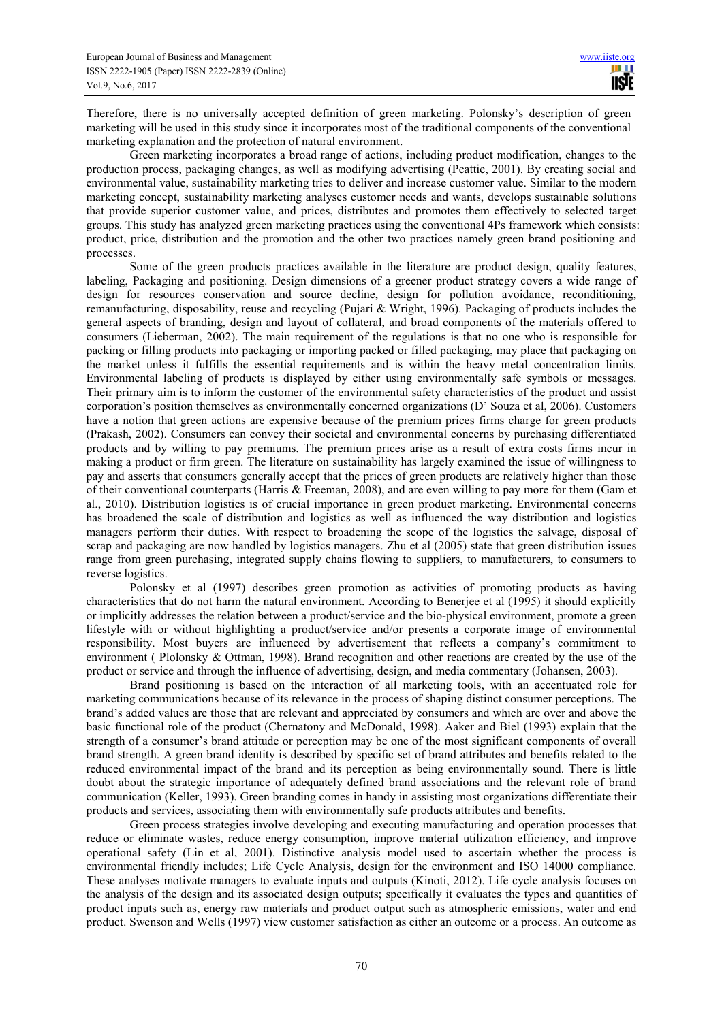Therefore, there is no universally accepted definition of green marketing. Polonsky's description of green marketing will be used in this study since it incorporates most of the traditional components of the conventional marketing explanation and the protection of natural environment.

Green marketing incorporates a broad range of actions, including product modification, changes to the production process, packaging changes, as well as modifying advertising (Peattie, 2001). By creating social and environmental value, sustainability marketing tries to deliver and increase customer value. Similar to the modern marketing concept, sustainability marketing analyses customer needs and wants, develops sustainable solutions that provide superior customer value, and prices, distributes and promotes them effectively to selected target groups. This study has analyzed green marketing practices using the conventional 4Ps framework which consists: product, price, distribution and the promotion and the other two practices namely green brand positioning and processes.

Some of the green products practices available in the literature are product design, quality features, labeling, Packaging and positioning. Design dimensions of a greener product strategy covers a wide range of design for resources conservation and source decline, design for pollution avoidance, reconditioning, remanufacturing, disposability, reuse and recycling (Pujari & Wright, 1996). Packaging of products includes the general aspects of branding, design and layout of collateral, and broad components of the materials offered to consumers (Lieberman, 2002). The main requirement of the regulations is that no one who is responsible for packing or filling products into packaging or importing packed or filled packaging, may place that packaging on the market unless it fulfills the essential requirements and is within the heavy metal concentration limits. Environmental labeling of products is displayed by either using environmentally safe symbols or messages. Their primary aim is to inform the customer of the environmental safety characteristics of the product and assist corporation's position themselves as environmentally concerned organizations (D' Souza et al, 2006). Customers have a notion that green actions are expensive because of the premium prices firms charge for green products (Prakash, 2002). Consumers can convey their societal and environmental concerns by purchasing differentiated products and by willing to pay premiums. The premium prices arise as a result of extra costs firms incur in making a product or firm green. The literature on sustainability has largely examined the issue of willingness to pay and asserts that consumers generally accept that the prices of green products are relatively higher than those of their conventional counterparts (Harris & Freeman, 2008), and are even willing to pay more for them (Gam et al., 2010). Distribution logistics is of crucial importance in green product marketing. Environmental concerns has broadened the scale of distribution and logistics as well as influenced the way distribution and logistics managers perform their duties. With respect to broadening the scope of the logistics the salvage, disposal of scrap and packaging are now handled by logistics managers. Zhu et al (2005) state that green distribution issues range from green purchasing, integrated supply chains flowing to suppliers, to manufacturers, to consumers to reverse logistics.

Polonsky et al (1997) describes green promotion as activities of promoting products as having characteristics that do not harm the natural environment. According to Benerjee et al (1995) it should explicitly or implicitly addresses the relation between a product/service and the bio-physical environment, promote a green lifestyle with or without highlighting a product/service and/or presents a corporate image of environmental responsibility. Most buyers are influenced by advertisement that reflects a company's commitment to environment ( Plolonsky & Ottman, 1998). Brand recognition and other reactions are created by the use of the product or service and through the influence of advertising, design, and media commentary (Johansen, 2003).

Brand positioning is based on the interaction of all marketing tools, with an accentuated role for marketing communications because of its relevance in the process of shaping distinct consumer perceptions. The brand's added values are those that are relevant and appreciated by consumers and which are over and above the basic functional role of the product (Chernatony and McDonald, 1998). Aaker and Biel (1993) explain that the strength of a consumer's brand attitude or perception may be one of the most significant components of overall brand strength. A green brand identity is described by specific set of brand attributes and benefits related to the reduced environmental impact of the brand and its perception as being environmentally sound. There is little doubt about the strategic importance of adequately defined brand associations and the relevant role of brand communication (Keller, 1993). Green branding comes in handy in assisting most organizations differentiate their products and services, associating them with environmentally safe products attributes and benefits.

Green process strategies involve developing and executing manufacturing and operation processes that reduce or eliminate wastes, reduce energy consumption, improve material utilization efficiency, and improve operational safety (Lin et al, 2001). Distinctive analysis model used to ascertain whether the process is environmental friendly includes; Life Cycle Analysis, design for the environment and ISO 14000 compliance. These analyses motivate managers to evaluate inputs and outputs (Kinoti, 2012). Life cycle analysis focuses on the analysis of the design and its associated design outputs; specifically it evaluates the types and quantities of product inputs such as, energy raw materials and product output such as atmospheric emissions, water and end product. Swenson and Wells (1997) view customer satisfaction as either an outcome or a process. An outcome as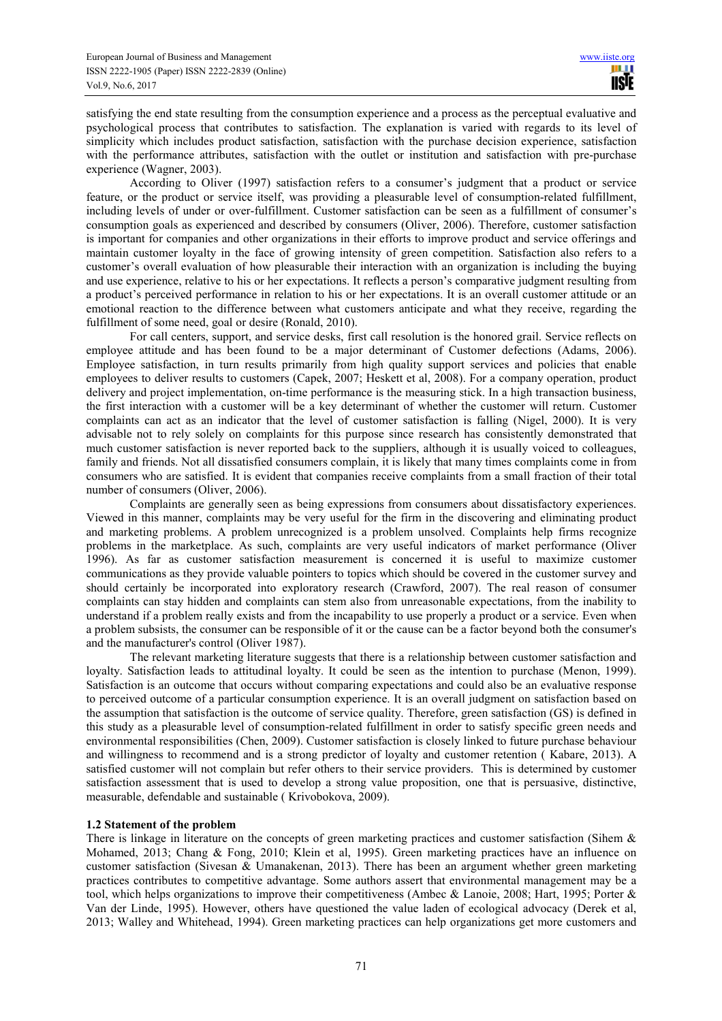satisfying the end state resulting from the consumption experience and a process as the perceptual evaluative and psychological process that contributes to satisfaction. The explanation is varied with regards to its level of simplicity which includes product satisfaction, satisfaction with the purchase decision experience, satisfaction with the performance attributes, satisfaction with the outlet or institution and satisfaction with pre-purchase experience (Wagner, 2003).

According to Oliver (1997) satisfaction refers to a consumer's judgment that a product or service feature, or the product or service itself, was providing a pleasurable level of consumption-related fulfillment, including levels of under or over-fulfillment. Customer satisfaction can be seen as a fulfillment of consumer's consumption goals as experienced and described by consumers (Oliver, 2006). Therefore, customer satisfaction is important for companies and other organizations in their efforts to improve product and service offerings and maintain customer loyalty in the face of growing intensity of green competition. Satisfaction also refers to a customer's overall evaluation of how pleasurable their interaction with an organization is including the buying and use experience, relative to his or her expectations. It reflects a person's comparative judgment resulting from a product's perceived performance in relation to his or her expectations. It is an overall customer attitude or an emotional reaction to the difference between what customers anticipate and what they receive, regarding the fulfillment of some need, goal or desire (Ronald, 2010).

For call centers, support, and service desks, first call resolution is the honored grail. Service reflects on employee attitude and has been found to be a major determinant of Customer defections (Adams, 2006). Employee satisfaction, in turn results primarily from high quality support services and policies that enable employees to deliver results to customers (Capek, 2007; Heskett et al, 2008). For a company operation, product delivery and project implementation, on-time performance is the measuring stick. In a high transaction business, the first interaction with a customer will be a key determinant of whether the customer will return. Customer complaints can act as an indicator that the level of customer satisfaction is falling (Nigel, 2000). It is very advisable not to rely solely on complaints for this purpose since research has consistently demonstrated that much customer satisfaction is never reported back to the suppliers, although it is usually voiced to colleagues, family and friends. Not all dissatisfied consumers complain, it is likely that many times complaints come in from consumers who are satisfied. It is evident that companies receive complaints from a small fraction of their total number of consumers (Oliver, 2006).

Complaints are generally seen as being expressions from consumers about dissatisfactory experiences. Viewed in this manner, complaints may be very useful for the firm in the discovering and eliminating product and marketing problems. A problem unrecognized is a problem unsolved. Complaints help firms recognize problems in the marketplace. As such, complaints are very useful indicators of market performance (Oliver 1996). As far as customer satisfaction measurement is concerned it is useful to maximize customer communications as they provide valuable pointers to topics which should be covered in the customer survey and should certainly be incorporated into exploratory research (Crawford, 2007). The real reason of consumer complaints can stay hidden and complaints can stem also from unreasonable expectations, from the inability to understand if a problem really exists and from the incapability to use properly a product or a service. Even when a problem subsists, the consumer can be responsible of it or the cause can be a factor beyond both the consumer's and the manufacturer's control (Oliver 1987).

The relevant marketing literature suggests that there is a relationship between customer satisfaction and loyalty. Satisfaction leads to attitudinal loyalty. It could be seen as the intention to purchase (Menon, 1999). Satisfaction is an outcome that occurs without comparing expectations and could also be an evaluative response to perceived outcome of a particular consumption experience. It is an overall judgment on satisfaction based on the assumption that satisfaction is the outcome of service quality. Therefore, green satisfaction (GS) is defined in this study as a pleasurable level of consumption-related fulfillment in order to satisfy specific green needs and environmental responsibilities (Chen, 2009). Customer satisfaction is closely linked to future purchase behaviour and willingness to recommend and is a strong predictor of loyalty and customer retention ( Kabare, 2013). A satisfied customer will not complain but refer others to their service providers. This is determined by customer satisfaction assessment that is used to develop a strong value proposition, one that is persuasive, distinctive, measurable, defendable and sustainable ( Krivobokova, 2009).

# **1.2 Statement of the problem**

There is linkage in literature on the concepts of green marketing practices and customer satisfaction (Sihem & Mohamed, 2013; Chang & Fong, 2010; Klein et al, 1995). Green marketing practices have an influence on customer satisfaction (Sivesan & Umanakenan, 2013). There has been an argument whether green marketing practices contributes to competitive advantage. Some authors assert that environmental management may be a tool, which helps organizations to improve their competitiveness (Ambec & Lanoie, 2008; Hart, 1995; Porter & Van der Linde, 1995). However, others have questioned the value laden of ecological advocacy (Derek et al, 2013; Walley and Whitehead, 1994). Green marketing practices can help organizations get more customers and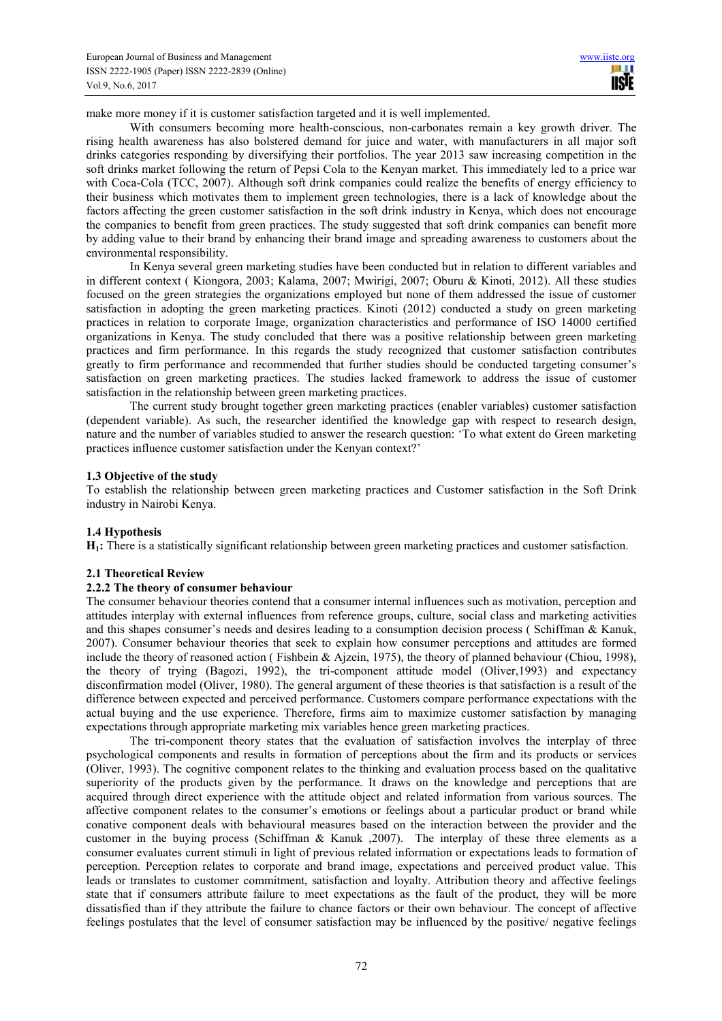make more money if it is customer satisfaction targeted and it is well implemented.

With consumers becoming more health-conscious, non-carbonates remain a key growth driver. The rising health awareness has also bolstered demand for juice and water, with manufacturers in all major soft drinks categories responding by diversifying their portfolios. The year 2013 saw increasing competition in the soft drinks market following the return of Pepsi Cola to the Kenyan market. This immediately led to a price war with Coca-Cola (TCC, 2007). Although soft drink companies could realize the benefits of energy efficiency to their business which motivates them to implement green technologies, there is a lack of knowledge about the factors affecting the green customer satisfaction in the soft drink industry in Kenya, which does not encourage the companies to benefit from green practices. The study suggested that soft drink companies can benefit more by adding value to their brand by enhancing their brand image and spreading awareness to customers about the environmental responsibility.

In Kenya several green marketing studies have been conducted but in relation to different variables and in different context ( Kiongora, 2003; Kalama, 2007; Mwirigi, 2007; Oburu & Kinoti, 2012). All these studies focused on the green strategies the organizations employed but none of them addressed the issue of customer satisfaction in adopting the green marketing practices. Kinoti (2012) conducted a study on green marketing practices in relation to corporate Image, organization characteristics and performance of ISO 14000 certified organizations in Kenya. The study concluded that there was a positive relationship between green marketing practices and firm performance. In this regards the study recognized that customer satisfaction contributes greatly to firm performance and recommended that further studies should be conducted targeting consumer's satisfaction on green marketing practices. The studies lacked framework to address the issue of customer satisfaction in the relationship between green marketing practices.

The current study brought together green marketing practices (enabler variables) customer satisfaction (dependent variable). As such, the researcher identified the knowledge gap with respect to research design, nature and the number of variables studied to answer the research question: 'To what extent do Green marketing practices influence customer satisfaction under the Kenyan context?'

#### **1.3 Objective of the study**

To establish the relationship between green marketing practices and Customer satisfaction in the Soft Drink industry in Nairobi Kenya.

#### **1.4 Hypothesis**

**H1:** There is a statistically significant relationship between green marketing practices and customer satisfaction.

#### **2.1 Theoretical Review**

#### **2.2.2 The theory of consumer behaviour**

The consumer behaviour theories contend that a consumer internal influences such as motivation, perception and attitudes interplay with external influences from reference groups, culture, social class and marketing activities and this shapes consumer's needs and desires leading to a consumption decision process ( Schiffman & Kanuk, 2007). Consumer behaviour theories that seek to explain how consumer perceptions and attitudes are formed include the theory of reasoned action ( Fishbein & Ajzein, 1975), the theory of planned behaviour (Chiou, 1998), the theory of trying (Bagozi, 1992), the tri-component attitude model (Oliver,1993) and expectancy disconfirmation model (Oliver, 1980). The general argument of these theories is that satisfaction is a result of the difference between expected and perceived performance. Customers compare performance expectations with the actual buying and the use experience. Therefore, firms aim to maximize customer satisfaction by managing expectations through appropriate marketing mix variables hence green marketing practices.

The tri-component theory states that the evaluation of satisfaction involves the interplay of three psychological components and results in formation of perceptions about the firm and its products or services (Oliver, 1993). The cognitive component relates to the thinking and evaluation process based on the qualitative superiority of the products given by the performance. It draws on the knowledge and perceptions that are acquired through direct experience with the attitude object and related information from various sources. The affective component relates to the consumer's emotions or feelings about a particular product or brand while conative component deals with behavioural measures based on the interaction between the provider and the customer in the buying process (Schiffman & Kanuk ,2007). The interplay of these three elements as a consumer evaluates current stimuli in light of previous related information or expectations leads to formation of perception. Perception relates to corporate and brand image, expectations and perceived product value. This leads or translates to customer commitment, satisfaction and loyalty. Attribution theory and affective feelings state that if consumers attribute failure to meet expectations as the fault of the product, they will be more dissatisfied than if they attribute the failure to chance factors or their own behaviour. The concept of affective feelings postulates that the level of consumer satisfaction may be influenced by the positive/ negative feelings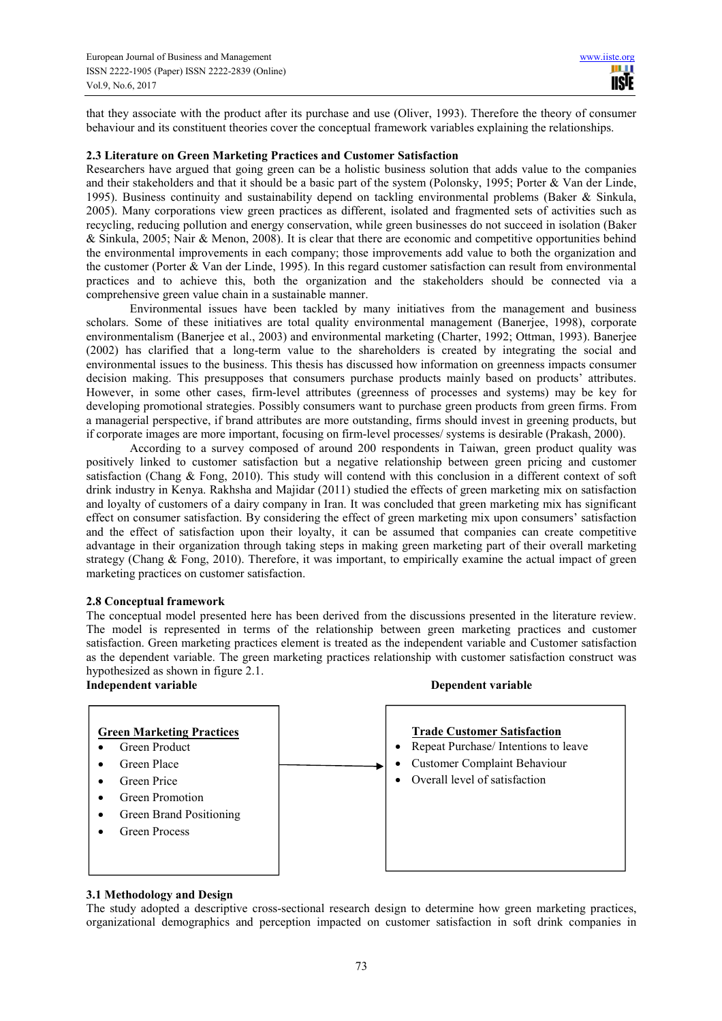that they associate with the product after its purchase and use (Oliver, 1993). Therefore the theory of consumer behaviour and its constituent theories cover the conceptual framework variables explaining the relationships.

### **2.3 Literature on Green Marketing Practices and Customer Satisfaction**

Researchers have argued that going green can be a holistic business solution that adds value to the companies and their stakeholders and that it should be a basic part of the system (Polonsky, 1995; Porter & Van der Linde, 1995). Business continuity and sustainability depend on tackling environmental problems (Baker & Sinkula, 2005). Many corporations view green practices as different, isolated and fragmented sets of activities such as recycling, reducing pollution and energy conservation, while green businesses do not succeed in isolation (Baker & Sinkula, 2005; Nair & Menon, 2008). It is clear that there are economic and competitive opportunities behind the environmental improvements in each company; those improvements add value to both the organization and the customer (Porter & Van der Linde, 1995). In this regard customer satisfaction can result from environmental practices and to achieve this, both the organization and the stakeholders should be connected via a comprehensive green value chain in a sustainable manner.

Environmental issues have been tackled by many initiatives from the management and business scholars. Some of these initiatives are total quality environmental management (Banerjee, 1998), corporate environmentalism (Banerjee et al., 2003) and environmental marketing (Charter, 1992; Ottman, 1993). Banerjee (2002) has clarified that a long-term value to the shareholders is created by integrating the social and environmental issues to the business. This thesis has discussed how information on greenness impacts consumer decision making. This presupposes that consumers purchase products mainly based on products' attributes. However, in some other cases, firm-level attributes (greenness of processes and systems) may be key for developing promotional strategies. Possibly consumers want to purchase green products from green firms. From a managerial perspective, if brand attributes are more outstanding, firms should invest in greening products, but if corporate images are more important, focusing on firm-level processes/ systems is desirable (Prakash, 2000).

According to a survey composed of around 200 respondents in Taiwan, green product quality was positively linked to customer satisfaction but a negative relationship between green pricing and customer satisfaction (Chang & Fong, 2010). This study will contend with this conclusion in a different context of soft drink industry in Kenya. Rakhsha and Majidar (2011) studied the effects of green marketing mix on satisfaction and loyalty of customers of a dairy company in Iran. It was concluded that green marketing mix has significant effect on consumer satisfaction. By considering the effect of green marketing mix upon consumers' satisfaction and the effect of satisfaction upon their loyalty, it can be assumed that companies can create competitive advantage in their organization through taking steps in making green marketing part of their overall marketing strategy (Chang & Fong, 2010). Therefore, it was important, to empirically examine the actual impact of green marketing practices on customer satisfaction.

## **2.8 Conceptual framework**

The conceptual model presented here has been derived from the discussions presented in the literature review. The model is represented in terms of the relationship between green marketing practices and customer satisfaction. Green marketing practices element is treated as the independent variable and Customer satisfaction as the dependent variable. The green marketing practices relationship with customer satisfaction construct was hypothesized as shown in figure 2.1.



# **3.1 Methodology and Design**

The study adopted a descriptive cross-sectional research design to determine how green marketing practices, organizational demographics and perception impacted on customer satisfaction in soft drink companies in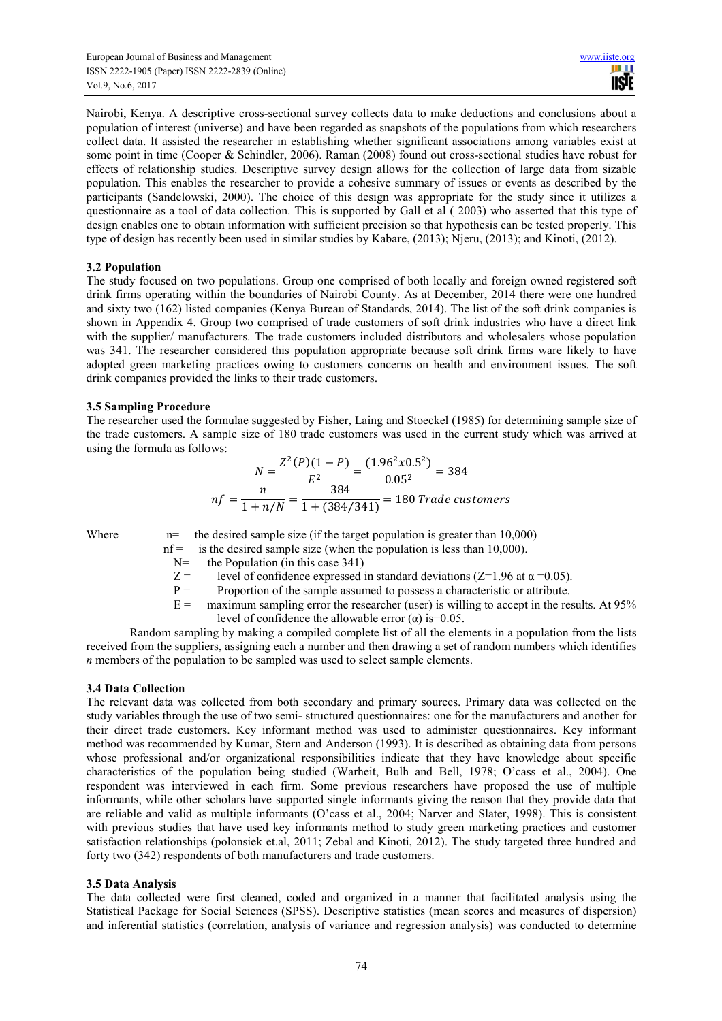Nairobi, Kenya. A descriptive cross-sectional survey collects data to make deductions and conclusions about a population of interest (universe) and have been regarded as snapshots of the populations from which researchers collect data. It assisted the researcher in establishing whether significant associations among variables exist at some point in time (Cooper & Schindler, 2006). Raman (2008) found out cross-sectional studies have robust for effects of relationship studies. Descriptive survey design allows for the collection of large data from sizable population. This enables the researcher to provide a cohesive summary of issues or events as described by the participants (Sandelowski, 2000). The choice of this design was appropriate for the study since it utilizes a questionnaire as a tool of data collection. This is supported by Gall et al ( 2003) who asserted that this type of design enables one to obtain information with sufficient precision so that hypothesis can be tested properly. This type of design has recently been used in similar studies by Kabare, (2013); Njeru, (2013); and Kinoti, (2012).

# **3.2 Population**

The study focused on two populations. Group one comprised of both locally and foreign owned registered soft drink firms operating within the boundaries of Nairobi County. As at December, 2014 there were one hundred and sixty two (162) listed companies (Kenya Bureau of Standards, 2014). The list of the soft drink companies is shown in Appendix 4. Group two comprised of trade customers of soft drink industries who have a direct link with the supplier/ manufacturers. The trade customers included distributors and wholesalers whose population was 341. The researcher considered this population appropriate because soft drink firms ware likely to have adopted green marketing practices owing to customers concerns on health and environment issues. The soft drink companies provided the links to their trade customers.

# **3.5 Sampling Procedure**

The researcher used the formulae suggested by Fisher, Laing and Stoeckel (1985) for determining sample size of the trade customers. A sample size of 180 trade customers was used in the current study which was arrived at using the formula as follows:

$$
N = \frac{Z^2(P)(1-P)}{E^2} = \frac{(1.96^2 \times 0.5^2)}{0.05^2} = 384
$$
  

$$
nf = \frac{n}{1+n/N} = \frac{384}{1+(384/341)} = 180
$$
 Trade customers

Where  $n=$  the desired sample size (if the target population is greater than 10,000)

- nf = is the desired sample size (when the population is less than 10,000).<br>N= the Population (in this case 341)
	- the Population (in this case  $341$ )
	- $Z =$  level of confidence expressed in standard deviations (Z=1.96 at  $\alpha$  =0.05).
	- $P =$  Proportion of the sample assumed to possess a characteristic or attribute.<br>  $E =$  maximum sampling error the researcher (user) is willing to accept in the res
	- maximum sampling error the researcher (user) is willing to accept in the results. At 95% level of confidence the allowable error  $(\alpha)$  is=0.05.

Random sampling by making a compiled complete list of all the elements in a population from the lists received from the suppliers, assigning each a number and then drawing a set of random numbers which identifies *n* members of the population to be sampled was used to select sample elements.

# **3.4 Data Collection**

The relevant data was collected from both secondary and primary sources. Primary data was collected on the study variables through the use of two semi- structured questionnaires: one for the manufacturers and another for their direct trade customers. Key informant method was used to administer questionnaires. Key informant method was recommended by Kumar, Stern and Anderson (1993). It is described as obtaining data from persons whose professional and/or organizational responsibilities indicate that they have knowledge about specific characteristics of the population being studied (Warheit, Bulh and Bell, 1978; O'cass et al., 2004). One respondent was interviewed in each firm. Some previous researchers have proposed the use of multiple informants, while other scholars have supported single informants giving the reason that they provide data that are reliable and valid as multiple informants (O'cass et al., 2004; Narver and Slater, 1998). This is consistent with previous studies that have used key informants method to study green marketing practices and customer satisfaction relationships (polonsiek et.al, 2011; Zebal and Kinoti, 2012). The study targeted three hundred and forty two (342) respondents of both manufacturers and trade customers.

# **3.5 Data Analysis**

The data collected were first cleaned, coded and organized in a manner that facilitated analysis using the Statistical Package for Social Sciences (SPSS). Descriptive statistics (mean scores and measures of dispersion) and inferential statistics (correlation, analysis of variance and regression analysis) was conducted to determine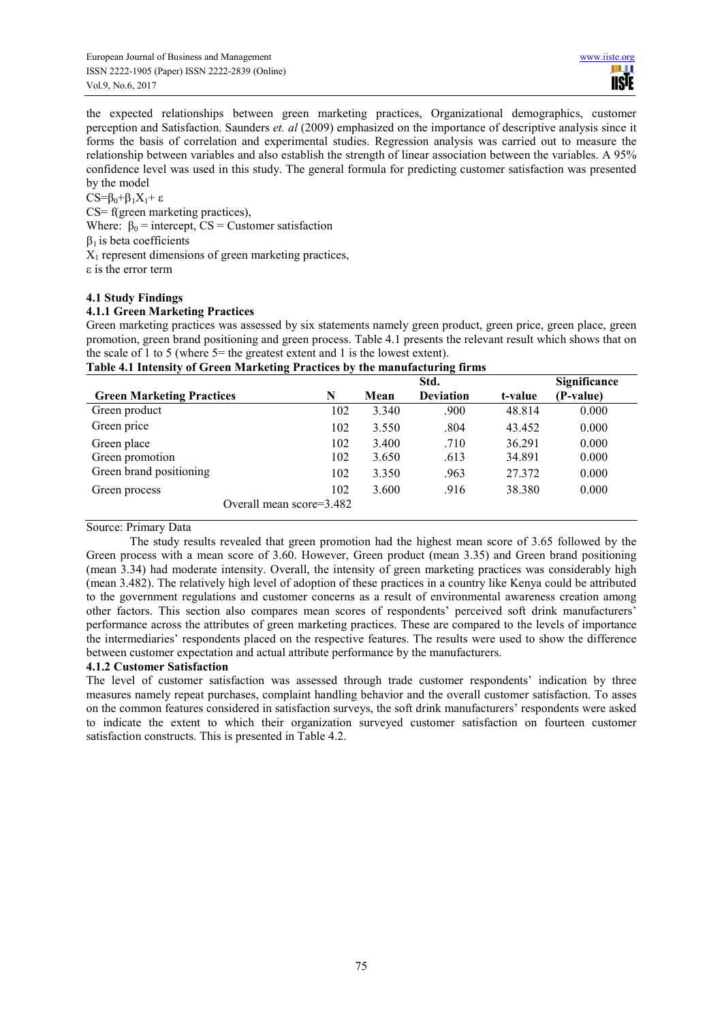the expected relationships between green marketing practices, Organizational demographics, customer perception and Satisfaction. Saunders *et. al* (2009) emphasized on the importance of descriptive analysis since it forms the basis of correlation and experimental studies. Regression analysis was carried out to measure the relationship between variables and also establish the strength of linear association between the variables. A 95% confidence level was used in this study. The general formula for predicting customer satisfaction was presented by the model

CS= $β_0 + β_1X_1 + ε$ 

CS= f(green marketing practices), Where:  $\beta_0$  = intercept, CS = Customer satisfaction  $\beta_1$  is beta coefficients  $X_1$  represent dimensions of green marketing practices, ε is the error term

# **4.1 Study Findings**

# **4.1.1 Green Marketing Practices**

Green marketing practices was assessed by six statements namely green product, green price, green place, green promotion, green brand positioning and green process. Table 4.1 presents the relevant result which shows that on the scale of 1 to 5 (where 5= the greatest extent and 1 is the lowest extent).

| $\cdot$                          |     |       | Std.             |         | Significance |
|----------------------------------|-----|-------|------------------|---------|--------------|
| <b>Green Marketing Practices</b> | N   | Mean  | <b>Deviation</b> | t-value | (P-value)    |
| Green product                    | 102 | 3.340 | .900             | 48.814  | 0.000        |
| Green price                      | 102 | 3.550 | .804             | 43.452  | 0.000        |
| Green place                      | 102 | 3.400 | .710             | 36.291  | 0.000        |
| Green promotion                  | 102 | 3.650 | .613             | 34.891  | 0.000        |
| Green brand positioning          | 102 | 3.350 | .963             | 27.372  | 0.000        |
| Green process                    | 102 | 3.600 | .916             | 38.380  | 0.000        |
| Overall mean score=3.482         |     |       |                  |         |              |

# **Table 4.1 Intensity of Green Marketing Practices by the manufacturing firms**

# Source: Primary Data

The study results revealed that green promotion had the highest mean score of 3.65 followed by the Green process with a mean score of 3.60. However, Green product (mean 3.35) and Green brand positioning (mean 3.34) had moderate intensity. Overall, the intensity of green marketing practices was considerably high (mean 3.482). The relatively high level of adoption of these practices in a country like Kenya could be attributed to the government regulations and customer concerns as a result of environmental awareness creation among other factors. This section also compares mean scores of respondents' perceived soft drink manufacturers' performance across the attributes of green marketing practices. These are compared to the levels of importance the intermediaries' respondents placed on the respective features. The results were used to show the difference between customer expectation and actual attribute performance by the manufacturers.

# **4.1.2 Customer Satisfaction**

The level of customer satisfaction was assessed through trade customer respondents' indication by three measures namely repeat purchases, complaint handling behavior and the overall customer satisfaction. To asses on the common features considered in satisfaction surveys, the soft drink manufacturers' respondents were asked to indicate the extent to which their organization surveyed customer satisfaction on fourteen customer satisfaction constructs. This is presented in Table 4.2.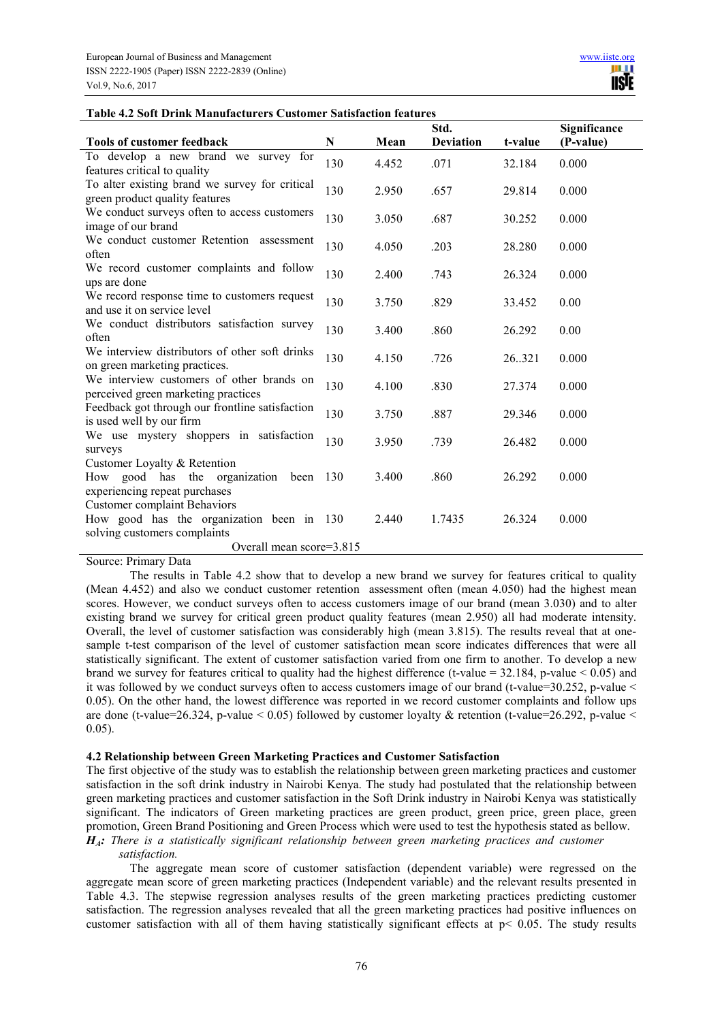#### **Table 4.2 Soft Drink Manufacturers Customer Satisfaction features**

|                                                                                  |     |       | Std.             |         | Significance |  |
|----------------------------------------------------------------------------------|-----|-------|------------------|---------|--------------|--|
| <b>Tools of customer feedback</b>                                                | N   | Mean  | <b>Deviation</b> | t-value | (P-value)    |  |
| To develop a new brand we survey for<br>features critical to quality             | 130 | 4.452 | .071             | 32.184  | 0.000        |  |
| To alter existing brand we survey for critical<br>green product quality features | 130 | 2.950 | .657             | 29.814  | 0.000        |  |
| We conduct surveys often to access customers<br>image of our brand               | 130 | 3.050 | .687             | 30.252  | 0.000        |  |
| We conduct customer Retention assessment<br>often                                | 130 | 4.050 | .203             | 28.280  | 0.000        |  |
| We record customer complaints and follow<br>ups are done                         | 130 | 2.400 | .743             | 26.324  | 0.000        |  |
| We record response time to customers request<br>and use it on service level      | 130 | 3.750 | .829             | 33.452  | 0.00         |  |
| We conduct distributors satisfaction survey<br>often                             | 130 | 3.400 | .860             | 26.292  | 0.00         |  |
| We interview distributors of other soft drinks<br>on green marketing practices.  | 130 | 4.150 | .726             | 26.321  | 0.000        |  |
| We interview customers of other brands on<br>perceived green marketing practices | 130 | 4.100 | .830             | 27.374  | 0.000        |  |
| Feedback got through our frontline satisfaction<br>is used well by our firm      | 130 | 3.750 | .887             | 29.346  | 0.000        |  |
| We use mystery shoppers in satisfaction<br>surveys                               | 130 | 3.950 | .739             | 26.482  | 0.000        |  |
| Customer Loyalty & Retention<br>How good has the organization<br>been            | 130 | 3.400 | .860             | 26.292  | 0.000        |  |
| experiencing repeat purchases<br><b>Customer complaint Behaviors</b>             |     |       |                  |         |              |  |
| How good has the organization been in 130<br>solving customers complaints        |     | 2.440 | 1.7435           | 26.324  | 0.000        |  |
| Overall mean score=3.815                                                         |     |       |                  |         |              |  |

Source: Primary Data

The results in Table 4.2 show that to develop a new brand we survey for features critical to quality (Mean 4.452) and also we conduct customer retention assessment often (mean 4.050) had the highest mean scores. However, we conduct surveys often to access customers image of our brand (mean 3.030) and to alter existing brand we survey for critical green product quality features (mean 2.950) all had moderate intensity. Overall, the level of customer satisfaction was considerably high (mean 3.815). The results reveal that at onesample t-test comparison of the level of customer satisfaction mean score indicates differences that were all statistically significant. The extent of customer satisfaction varied from one firm to another. To develop a new brand we survey for features critical to quality had the highest difference (t-value =  $32.184$ , p-value < 0.05) and it was followed by we conduct surveys often to access customers image of our brand (t-value=30.252, p-value < 0.05). On the other hand, the lowest difference was reported in we record customer complaints and follow ups are done (t-value=26.324, p-value  $\leq 0.05$ ) followed by customer lovalty & retention (t-value=26.292, p-value  $\leq$ 0.05).

## **4.2 Relationship between Green Marketing Practices and Customer Satisfaction**

The first objective of the study was to establish the relationship between green marketing practices and customer satisfaction in the soft drink industry in Nairobi Kenya. The study had postulated that the relationship between green marketing practices and customer satisfaction in the Soft Drink industry in Nairobi Kenya was statistically significant. The indicators of Green marketing practices are green product, green price, green place, green promotion, Green Brand Positioning and Green Process which were used to test the hypothesis stated as bellow. *HA: There is a statistically significant relationship between green marketing practices and customer* 

#### *satisfaction.*

The aggregate mean score of customer satisfaction (dependent variable) were regressed on the aggregate mean score of green marketing practices (Independent variable) and the relevant results presented in Table 4.3. The stepwise regression analyses results of the green marketing practices predicting customer satisfaction. The regression analyses revealed that all the green marketing practices had positive influences on customer satisfaction with all of them having statistically significant effects at  $p < 0.05$ . The study results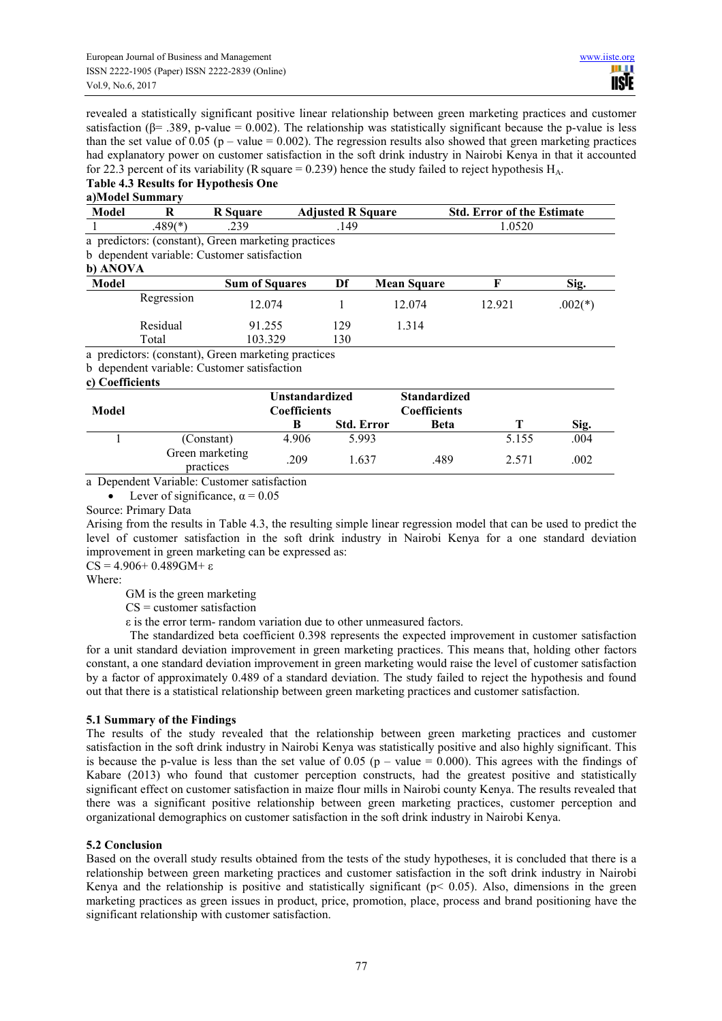revealed a statistically significant positive linear relationship between green marketing practices and customer satisfaction ( $\beta$ = .389, p-value = 0.002). The relationship was statistically significant because the p-value is less than the set value of 0.05 (p – value = 0.002). The regression results also showed that green marketing practices had explanatory power on customer satisfaction in the soft drink industry in Nairobi Kenya in that it accounted for 22.3 percent of its variability (R square = 0.239) hence the study failed to reject hypothesis  $H_A$ .

# **Table 4.3 Results for Hypothesis One**

# **a)Model Summary**

| Model           | R          | <b>R</b> Square                                     | <b>Adjusted R Square</b> |                                                    | <b>Std. Error of the Estimate</b> |           |  |  |
|-----------------|------------|-----------------------------------------------------|--------------------------|----------------------------------------------------|-----------------------------------|-----------|--|--|
|                 | $.489(*)$  | .239                                                | .149                     |                                                    | 1.0520                            |           |  |  |
|                 |            | a predictors: (constant), Green marketing practices |                          |                                                    |                                   |           |  |  |
|                 |            | b dependent variable: Customer satisfaction         |                          |                                                    |                                   |           |  |  |
| b) ANOVA        |            |                                                     |                          |                                                    |                                   |           |  |  |
| Model           |            | <b>Sum of Squares</b>                               | Df                       | <b>Mean Square</b>                                 | F                                 | Sig.      |  |  |
|                 | Regression | 12.074                                              |                          | 12.074                                             | 12.921                            | $.002(*)$ |  |  |
|                 | Residual   | 91.255                                              | 129                      | 1.314                                              |                                   |           |  |  |
|                 | Total      | 103.329                                             | 130                      |                                                    |                                   |           |  |  |
|                 |            | a predictors: (constant), Green marketing practices |                          |                                                    |                                   |           |  |  |
|                 |            | b dependent variable: Customer satisfaction         |                          |                                                    |                                   |           |  |  |
| c) Coefficients |            |                                                     |                          |                                                    |                                   |           |  |  |
|                 |            |                                                     | <b>TIAN 1918</b>         | $\alpha$ $\alpha$ $\beta$ $\beta$ $\beta$ $\gamma$ |                                   |           |  |  |

| Model |                              | <b>Unstandardized</b><br><b>Coefficients</b> |                   | <b>Standardized</b><br><b>Coefficients</b> |       |      |
|-------|------------------------------|----------------------------------------------|-------------------|--------------------------------------------|-------|------|
|       |                              |                                              | <b>Std. Error</b> | Beta                                       |       | Sig. |
|       | (Constant)                   | 4.906                                        | 5.993             |                                            | 5.155 | .004 |
|       | Green marketing<br>practices | 209                                          | 637               | .489                                       | 2.571 | .002 |

a Dependent Variable: Customer satisfaction

• Lever of significance,  $\alpha = 0.05$ 

Source: Primary Data

Arising from the results in Table 4.3, the resulting simple linear regression model that can be used to predict the level of customer satisfaction in the soft drink industry in Nairobi Kenya for a one standard deviation improvement in green marketing can be expressed as:  $CS = 4.906 + 0.489$  GM + ε

Where:

GM is the green marketing

 $CS$  = customer satisfaction

ε is the error term- random variation due to other unmeasured factors.

The standardized beta coefficient 0.398 represents the expected improvement in customer satisfaction for a unit standard deviation improvement in green marketing practices. This means that, holding other factors constant, a one standard deviation improvement in green marketing would raise the level of customer satisfaction by a factor of approximately 0.489 of a standard deviation. The study failed to reject the hypothesis and found out that there is a statistical relationship between green marketing practices and customer satisfaction.

# **5.1 Summary of the Findings**

The results of the study revealed that the relationship between green marketing practices and customer satisfaction in the soft drink industry in Nairobi Kenya was statistically positive and also highly significant. This is because the p-value is less than the set value of 0.05 ( $p -$ value = 0.000). This agrees with the findings of Kabare (2013) who found that customer perception constructs, had the greatest positive and statistically significant effect on customer satisfaction in maize flour mills in Nairobi county Kenya. The results revealed that there was a significant positive relationship between green marketing practices, customer perception and organizational demographics on customer satisfaction in the soft drink industry in Nairobi Kenya.

#### **5.2 Conclusion**

Based on the overall study results obtained from the tests of the study hypotheses, it is concluded that there is a relationship between green marketing practices and customer satisfaction in the soft drink industry in Nairobi Kenya and the relationship is positive and statistically significant ( $p$ < 0.05). Also, dimensions in the green marketing practices as green issues in product, price, promotion, place, process and brand positioning have the significant relationship with customer satisfaction.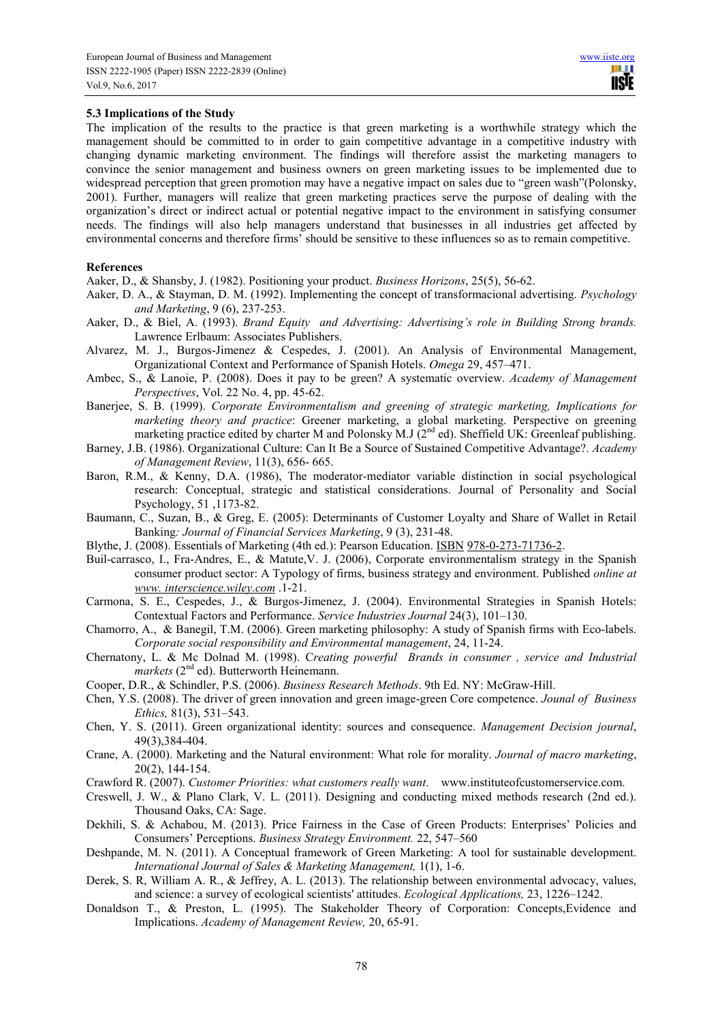# **5.3 Implications of the Study**

The implication of the results to the practice is that green marketing is a worthwhile strategy which the management should be committed to in order to gain competitive advantage in a competitive industry with changing dynamic marketing environment. The findings will therefore assist the marketing managers to convince the senior management and business owners on green marketing issues to be implemented due to widespread perception that green promotion may have a negative impact on sales due to "green wash"(Polonsky, 2001). Further, managers will realize that green marketing practices serve the purpose of dealing with the organization's direct or indirect actual or potential negative impact to the environment in satisfying consumer needs. The findings will also help managers understand that businesses in all industries get affected by environmental concerns and therefore firms' should be sensitive to these influences so as to remain competitive.

#### **References**

Aaker, D., & Shansby, J. (1982). Positioning your product. *Business Horizons*, 25(5), 56-62.

- Aaker, D. A., & Stayman, D. M. (1992). Implementing the concept of transformacional advertising. *Psychology and Marketing*, 9 (6), 237-253.
- Aaker, D., & Biel, A. (1993). *Brand Equity and Advertising: Advertising's role in Building Strong brands.*  Lawrence Erlbaum: Associates Publishers.
- Alvarez, M. J., Burgos-Jimenez & Cespedes, J. (2001). An Analysis of Environmental Management, Organizational Context and Performance of Spanish Hotels. *Omega* 29, 457–471.
- Ambec, S., & Lanoie, P. (2008). Does it pay to be green? A systematic overview. *Academy of Management Perspectives*, Vol. 22 No. 4, pp. 45-62.
- Banerjee, S. B. (1999). *Corporate Environmentalism and greening of strategic marketing, Implications for marketing theory and practice*: Greener marketing, a global marketing. Perspective on greening marketing practice edited by charter M and Polonsky M.J (2<sup>nd</sup> ed). Sheffield UK: Greenleaf publishing.
- Barney, J.B. (1986). Organizational Culture: Can It Be a Source of Sustained Competitive Advantage?. *Academy of Management Review*, 11(3), 656- 665.
- Baron, R.M., & Kenny, D.A. (1986), The moderator-mediator variable distinction in social psychological research: Conceptual, strategic and statistical considerations. Journal of Personality and Social Psychology, 51 ,1173-82.
- Baumann, C., Suzan, B., & Greg, E. (2005): Determinants of Customer Loyalty and Share of Wallet in Retail Banking*: Journal of Financial Services Marketing*, 9 (3), 231-48.
- Blythe, J. (2008). Essentials of Marketing (4th ed.): Pearson Education. ISBN 978-0-273-71736-2.
- Buil-carrasco, I., Fra-Andres, E., & Matute,V. J. (2006), Corporate environmentalism strategy in the Spanish consumer product sector: A Typology of firms, business strategy and environment. Published *online at www. interscience.wiley.com* .1-21.
- Carmona, S. E., Cespedes, J., & Burgos-Jimenez, J. (2004). Environmental Strategies in Spanish Hotels: Contextual Factors and Performance. *Service Industries Journal* 24(3), 101–130.
- Chamorro, A., & Banegil, T.M. (2006). Green marketing philosophy: A study of Spanish firms with Eco-labels. *Corporate social responsibility and Environmental management*, 24, 11-24.
- Chernatony, L. & Mc Dolnad M. (1998). C*reating powerful Brands in consumer , service and Industrial markets* (2<sup>nd</sup> ed). Butterworth Heinemann.
- Cooper, D.R., & Schindler, P.S. (2006). *Business Research Methods*. 9th Ed. NY: McGraw-Hill.
- Chen, Y.S. (2008). The driver of green innovation and green image-green Core competence. *Jounal of Business Ethics,* 81(3), 531–543.
- Chen, Y. S. (2011). Green organizational identity: sources and consequence. *Management Decision journal*, 49(3),384-404.
- Crane, A. (2000). Marketing and the Natural environment: What role for morality. *Journal of macro marketing*, 20(2), 144-154.
- Crawford R. (2007). *Customer Priorities: what customers really want*. www.instituteofcustomerservice.com.
- Creswell, J. W., & Plano Clark, V. L. (2011). Designing and conducting mixed methods research (2nd ed.). Thousand Oaks, CA: Sage.
- Dekhili, S. & Achabou, M. (2013). Price Fairness in the Case of Green Products: Enterprises' Policies and Consumers' Perceptions. *Business Strategy Environment.* 22, 547–560
- Deshpande, M. N. (2011). A Conceptual framework of Green Marketing: A tool for sustainable development. *International Journal of Sales & Marketing Management,* 1(1), 1-6.
- Derek, S. R, William A. R., & Jeffrey, A. L. (2013). The relationship between environmental advocacy, values, and science: a survey of ecological scientists' attitudes. *Ecological Applications,* 23, 1226–1242.
- Donaldson T., & Preston, L. (1995). The Stakeholder Theory of Corporation: Concepts,Evidence and Implications. *Academy of Management Review,* 20, 65-91.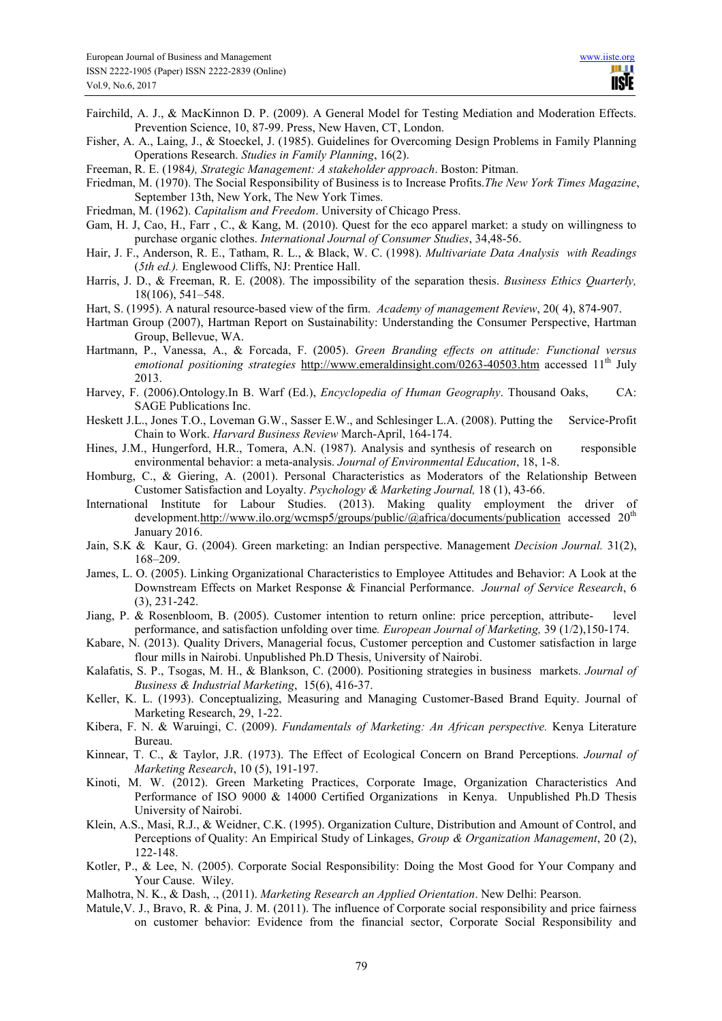- Fairchild, A. J., & MacKinnon D. P. (2009). A General Model for Testing Mediation and Moderation Effects. Prevention Science, 10, 87-99. Press, New Haven, CT, London.
- Fisher, A. A., Laing, J., & Stoeckel, J. (1985). Guidelines for Overcoming Design Problems in Family Planning Operations Research. *Studies in Family Planning*, 16(2).
- Freeman, R. E. (1984*), Strategic Management: A stakeholder approach*. Boston: Pitman.
- Friedman, M. (1970). The Social Responsibility of Business is to Increase Profits.*The New York Times Magazine*, September 13th, New York, The New York Times.
- Friedman, M. (1962). *Capitalism and Freedom*. University of Chicago Press.
- Gam, H. J, Cao, H., Farr , C., & Kang, M. (2010). Quest for the eco apparel market: a study on willingness to purchase organic clothes. *International Journal of Consumer Studies*, 34,48-56.
- Hair, J. F., Anderson, R. E., Tatham, R. L., & Black, W. C. (1998). *Multivariate Data Analysis with Readings*  (*5th ed.).* Englewood Cliffs, NJ: Prentice Hall.
- Harris, J. D., & Freeman, R. E. (2008). The impossibility of the separation thesis. *Business Ethics Quarterly,* 18(106), 541–548.
- Hart, S. (1995). A natural resource-based view of the firm. *Academy of management Review*, 20( 4), 874-907.
- Hartman Group (2007), Hartman Report on Sustainability: Understanding the Consumer Perspective, Hartman Group, Bellevue, WA.
- Hartmann, P., Vanessa, A., & Forcada, F. (2005). *Green Branding effects on attitude: Functional versus emotional positioning strategies* http://www.emeraldinsight.com/0263-40503.htm accessed 11<sup>th</sup> July 2013.
- Harvey, F. (2006).Ontology.In B. Warf (Ed.), *Encyclopedia of Human Geography*. Thousand Oaks, CA: SAGE Publications Inc.
- Heskett J.L., Jones T.O., Loveman G.W., Sasser E.W., and Schlesinger L.A. (2008). Putting the Service-Profit Chain to Work. *Harvard Business Review* March-April, 164-174.
- Hines, J.M., Hungerford, H.R., Tomera, A.N. (1987). Analysis and synthesis of research on responsible environmental behavior: a meta-analysis. *Journal of Environmental Education*, 18, 1-8.
- Homburg, C., & Giering, A. (2001). Personal Characteristics as Moderators of the Relationship Between Customer Satisfaction and Loyalty. *Psychology & Marketing Journal,* 18 (1), 43-66.
- International Institute for Labour Studies. (2013). Making quality employment the driver of development.http://www.ilo.org/wcmsp5/groups/public/@africa/documents/publication accessed 20<sup>th</sup> January 2016.
- Jain, S.K & Kaur, G. (2004). Green marketing: an Indian perspective. Management *Decision Journal.* 31(2), 168–209.
- James, L. O. (2005). Linking Organizational Characteristics to Employee Attitudes and Behavior: A Look at the Downstream Effects on Market Response & Financial Performance. *Journal of Service Research*, 6 (3), 231-242.
- Jiang, P. & Rosenbloom, B. (2005). Customer intention to return online: price perception, attribute- level performance, and satisfaction unfolding over time*. European Journal of Marketing,* 39 (1/2),150-174.
- Kabare, N. (2013). Quality Drivers, Managerial focus, Customer perception and Customer satisfaction in large flour mills in Nairobi. Unpublished Ph.D Thesis, University of Nairobi.
- Kalafatis, S. P., Tsogas, M. H., & Blankson, C. (2000). Positioning strategies in business markets. *Journal of Business & Industrial Marketing*, 15(6), 416-37.
- Keller, K. L. (1993). Conceptualizing, Measuring and Managing Customer-Based Brand Equity. Journal of Marketing Research, 29, 1-22.
- Kibera, F. N. & Waruingi, C. (2009). *Fundamentals of Marketing: An African perspective.* Kenya Literature Bureau.
- Kinnear, T. C., & Taylor, J.R. (1973). The Effect of Ecological Concern on Brand Perceptions. *Journal of Marketing Research*, 10 (5), 191-197.
- Kinoti, M. W. (2012). Green Marketing Practices, Corporate Image, Organization Characteristics And Performance of ISO 9000 & 14000 Certified Organizations in Kenya. Unpublished Ph.D Thesis University of Nairobi.
- Klein, A.S., Masi, R.J., & Weidner, C.K. (1995). Organization Culture, Distribution and Amount of Control, and Perceptions of Quality: An Empirical Study of Linkages, *Group & Organization Management*, 20 (2), 122-148.
- Kotler, P., & Lee, N. (2005). Corporate Social Responsibility: Doing the Most Good for Your Company and Your Cause. Wiley.
- Malhotra, N. K., & Dash, ., (2011). *Marketing Research an Applied Orientation*. New Delhi: Pearson.
- Matule, V. J., Bravo, R. & Pina, J. M. (2011). The influence of Corporate social responsibility and price fairness on customer behavior: Evidence from the financial sector, Corporate Social Responsibility and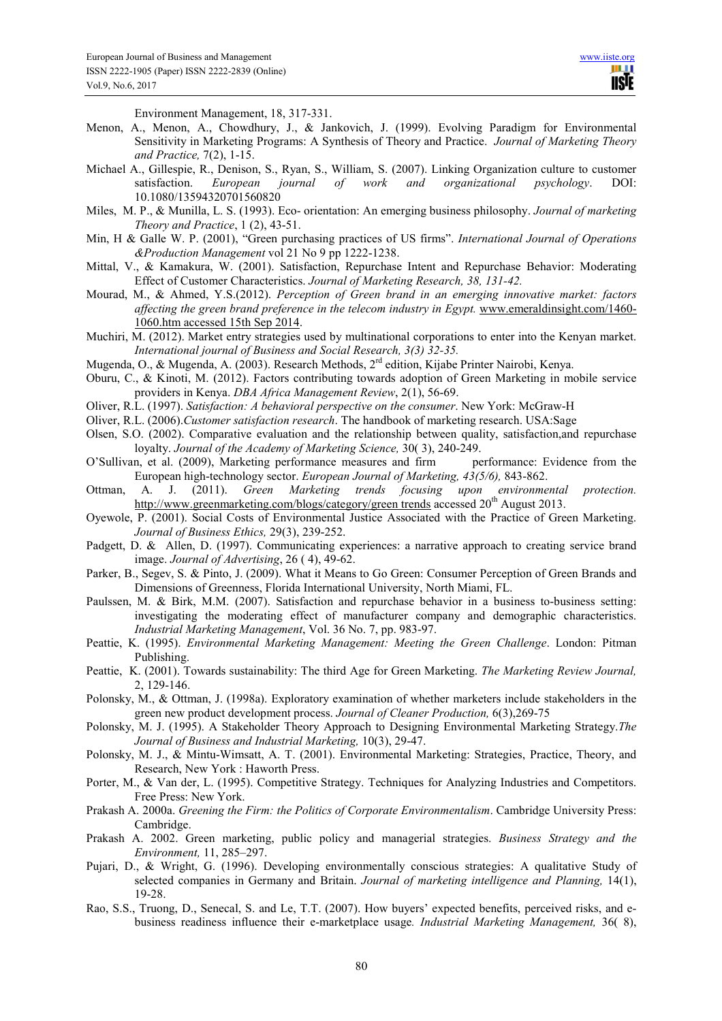TI II. **IISTE** 

Environment Management, 18, 317-331.

- Menon, A., Menon, A., Chowdhury, J., & Jankovich, J. (1999). Evolving Paradigm for Environmental Sensitivity in Marketing Programs: A Synthesis of Theory and Practice. *Journal of Marketing Theory and Practice,* 7(2), 1-15.
- Michael A., Gillespie, R., Denison, S., Ryan, S., William, S. (2007). Linking Organization culture to customer satisfaction. *European journal of work and organizational psychology*. DOI: 10.1080/13594320701560820
- Miles, M. P., & Munilla, L. S. (1993). Eco- orientation: An emerging business philosophy. *Journal of marketing Theory and Practice*, 1 (2), 43-51.
- Min, H & Galle W. P. (2001), "Green purchasing practices of US firms". *International Journal of Operations &Production Management* vol 21 No 9 pp 1222-1238.
- Mittal, V., & Kamakura, W. (2001). Satisfaction, Repurchase Intent and Repurchase Behavior: Moderating Effect of Customer Characteristics. *Journal of Marketing Research, 38, 131-42.*
- Mourad, M., & Ahmed, Y.S.(2012). *Perception of Green brand in an emerging innovative market: factors affecting the green brand preference in the telecom industry in Egypt.* www.emeraldinsight.com/1460- 1060.htm accessed 15th Sep 2014.
- Muchiri, M. (2012). Market entry strategies used by multinational corporations to enter into the Kenyan market. *International journal of Business and Social Research, 3(3) 32-35.*
- Mugenda, O., & Mugenda, A. (2003). Research Methods, 2<sup>rd</sup> edition, Kijabe Printer Nairobi, Kenya.
- Oburu, C., & Kinoti, M. (2012). Factors contributing towards adoption of Green Marketing in mobile service providers in Kenya. *DBA Africa Management Review*, 2(1), 56-69.
- Oliver, R.L. (1997). *Satisfaction: A behavioral perspective on the consumer*. New York: McGraw-H
- Oliver, R.L. (2006).*Customer satisfaction research*. The handbook of marketing research. USA:Sage
- Olsen, S.O. (2002). Comparative evaluation and the relationship between quality, satisfaction,and repurchase loyalty. *Journal of the Academy of Marketing Science,* 30( 3), 240-249.
- O'Sullivan, et al. (2009), Marketing performance measures and firm performance: Evidence from the European high-technology sector. *European Journal of Marketing, 43(5/6),* 843-862.
- Ottman, A. J. (2011). *Green Marketing trends focusing upon environmental protection.*  http://www.greenmarketing.com/blogs/category/green trends accessed 20<sup>th</sup> August 2013.
- Oyewole, P. (2001). Social Costs of Environmental Justice Associated with the Practice of Green Marketing. *Journal of Business Ethics,* 29(3), 239-252.
- Padgett, D. & Allen, D. (1997). Communicating experiences: a narrative approach to creating service brand image. *Journal of Advertising*, 26 ( 4), 49-62.
- Parker, B., Segev, S. & Pinto, J. (2009). What it Means to Go Green: Consumer Perception of Green Brands and Dimensions of Greenness, Florida International University, North Miami, FL.
- Paulssen, M. & Birk, M.M. (2007). Satisfaction and repurchase behavior in a business to-business setting: investigating the moderating effect of manufacturer company and demographic characteristics. *Industrial Marketing Management*, Vol. 36 No. 7, pp. 983-97.
- Peattie, K. (1995). *Environmental Marketing Management: Meeting the Green Challenge*. London: Pitman Publishing.
- Peattie, K. (2001). Towards sustainability: The third Age for Green Marketing. *The Marketing Review Journal,* 2, 129-146.
- Polonsky, M., & Ottman, J. (1998a). Exploratory examination of whether marketers include stakeholders in the green new product development process. *Journal of Cleaner Production,* 6(3),269-75
- Polonsky, M. J. (1995). A Stakeholder Theory Approach to Designing Environmental Marketing Strategy.*The Journal of Business and Industrial Marketing,* 10(3), 29-47.
- Polonsky, M. J., & Mintu-Wimsatt, A. T. (2001). Environmental Marketing: Strategies, Practice, Theory, and Research, New York : Haworth Press.
- Porter, M., & Van der, L. (1995). Competitive Strategy. Techniques for Analyzing Industries and Competitors. Free Press: New York.
- Prakash A. 2000a. *Greening the Firm: the Politics of Corporate Environmentalism*. Cambridge University Press: Cambridge.
- Prakash A. 2002. Green marketing, public policy and managerial strategies. *Business Strategy and the Environment,* 11, 285–297.
- Pujari, D., & Wright, G. (1996). Developing environmentally conscious strategies: A qualitative Study of selected companies in Germany and Britain. *Journal of marketing intelligence and Planning,* 14(1), 19-28.
- Rao, S.S., Truong, D., Senecal, S. and Le, T.T. (2007). How buyers' expected benefits, perceived risks, and ebusiness readiness influence their e-marketplace usage*. Industrial Marketing Management,* 36( 8),